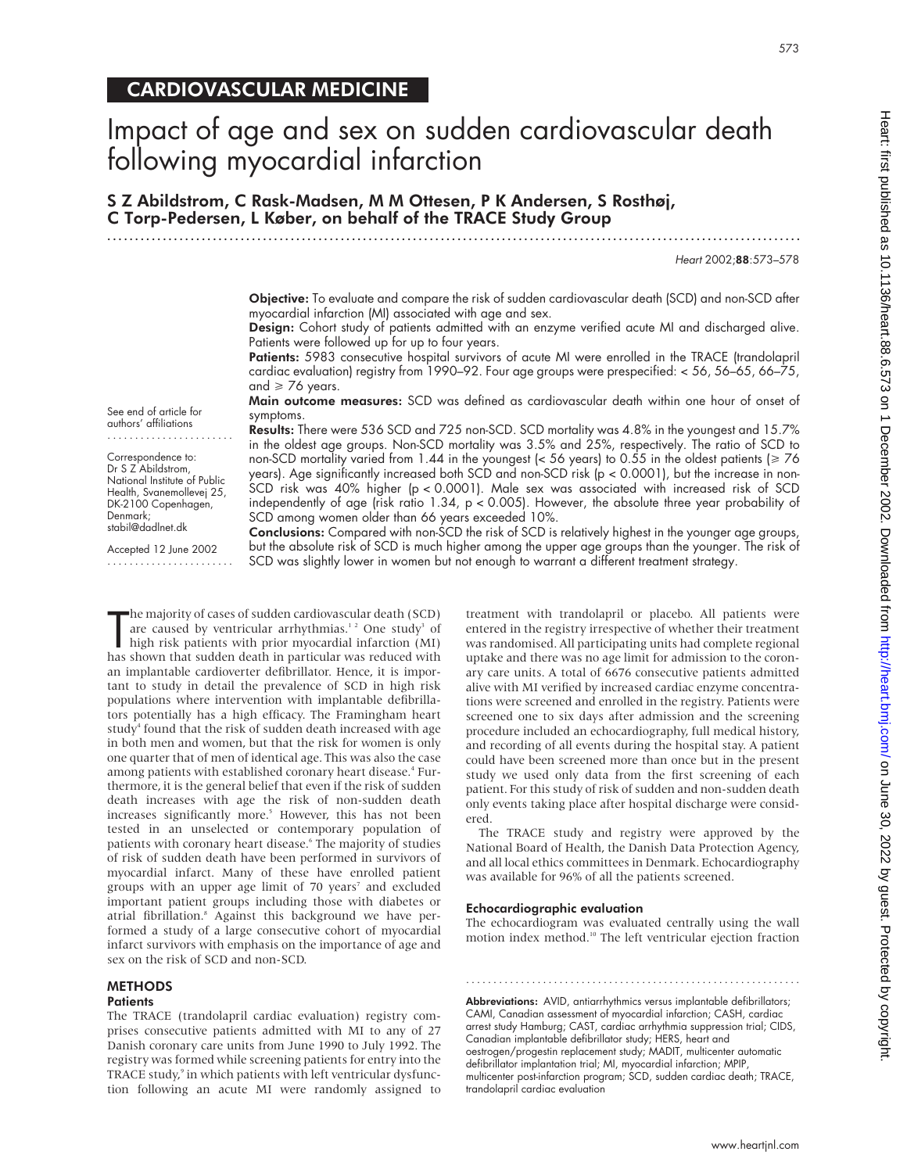## CARDIOVASCULAR MEDICINE

# Impact of age and sex on sudden cardiovascular death following myocardial infarction

S Z Abildstrom, C Rask-Madsen, M M Ottesen, P K Andersen, S Rosthøj, C Torp-Pedersen, L Køber, on behalf of the TRACE Study Group

.............................................................................................................................

Heart 2002;88:573–578

Objective: To evaluate and compare the risk of sudden cardiovascular death (SCD) and non-SCD after myocardial infarction (MI) associated with age and sex.

Design: Cohort study of patients admitted with an enzyme verified acute MI and discharged alive. Patients were followed up for up to four years.

Patients: 5983 consecutive hospital survivors of acute MI were enrolled in the TRACE (trandolapril cardiac evaluation) registry from 1990–92. Four age groups were prespecified: < 56, 56–65, 66–75, and  $\geq 76$  years.

Main outcome measures: SCD was defined as cardiovascular death within one hour of onset of symptoms.

Results: There were 536 SCD and 725 non-SCD. SCD mortality was 4.8% in the youngest and 15.7% in the oldest age groups. Non-SCD mortality was 3.5% and 25%, respectively. The ratio of SCD to non-SCD mortality varied from 1.44 in the youngest (< 56 years) to 0.55 in the oldest patients ( $\geq 76$ years). Age significantly increased both SCD and non-SCD risk (p < 0.0001), but the increase in non-SCD risk was 40% higher (p < 0.0001). Male sex was associated with increased risk of SCD independently of age (risk ratio  $1.34$ ,  $p < 0.005$ ). However, the absolute three year probability of SCD among women older than 66 years exceeded 10%.

Conclusions: Compared with non-SCD the risk of SCD is relatively highest in the younger age groups, but the absolute risk of SCD is much higher among the upper age groups than the younger. The risk of SCD was slightly lower in women but not enough to warrant a different treatment strategy.

The majority of cases of sudden cardiovascular death (SCD) are caused by ventricular arrhythmias.<sup>12</sup> One study<sup>3</sup> of high risk patients with prior myocardial infarction (MI) has shown that sudden death in particular was r he majority of cases of sudden cardiovascular death (SCD) are caused by ventricular arrhythmias.<sup>12</sup> One study<sup>3</sup> of high risk patients with prior myocardial infarction (MI) an implantable cardioverter defibrillator. Hence, it is important to study in detail the prevalence of SCD in high risk populations where intervention with implantable defibrillators potentially has a high efficacy. The Framingham heart study<sup>4</sup> found that the risk of sudden death increased with age in both men and women, but that the risk for women is only one quarter that of men of identical age. This was also the case among patients with established coronary heart disease.<sup>4</sup> Furthermore, it is the general belief that even if the risk of sudden death increases with age the risk of non-sudden death increases significantly more.<sup>5</sup> However, this has not been tested in an unselected or contemporary population of patients with coronary heart disease.<sup>6</sup> The majority of studies of risk of sudden death have been performed in survivors of myocardial infarct. Many of these have enrolled patient groups with an upper age limit of  $70$  years<sup>7</sup> and excluded important patient groups including those with diabetes or atrial fibrillation.<sup>8</sup> Against this background we have performed a study of a large consecutive cohort of myocardial infarct survivors with emphasis on the importance of age and sex on the risk of SCD and non-SCD.

### **METHODS**

See end of article for authors' affiliations ....................... Correspondence to: Dr S Z Abildstrom, National Institute of Public Health, Svanemollevej 25, DK-2100 Copenhagen,

Denmark; stabil@dadlnet.dk Accepted 12 June 2002 .......................

#### **Patients**

The TRACE (trandolapril cardiac evaluation) registry comprises consecutive patients admitted with MI to any of 27 Danish coronary care units from June 1990 to July 1992. The registry was formed while screening patients for entry into the TRACE study,<sup>9</sup> in which patients with left ventricular dysfunction following an acute MI were randomly assigned to

treatment with trandolapril or placebo. All patients were entered in the registry irrespective of whether their treatment was randomised. All participating units had complete regional uptake and there was no age limit for admission to the coronary care units. A total of 6676 consecutive patients admitted alive with MI verified by increased cardiac enzyme concentrations were screened and enrolled in the registry. Patients were screened one to six days after admission and the screening procedure included an echocardiography, full medical history, and recording of all events during the hospital stay. A patient could have been screened more than once but in the present study we used only data from the first screening of each patient. For this study of risk of sudden and non-sudden death only events taking place after hospital discharge were considered.

The TRACE study and registry were approved by the National Board of Health, the Danish Data Protection Agency, and all local ethics committees in Denmark. Echocardiography was available for 96% of all the patients screened.

#### Echocardiographic evaluation

The echocardiogram was evaluated centrally using the wall motion index method.<sup>10</sup> The left ventricular ejection fraction

.............................................................

Abbreviations: AVID, antiarrhythmics versus implantable defibrillators; CAMI, Canadian assessment of myocardial infarction; CASH, cardiac arrest study Hamburg; CAST, cardiac arrhythmia suppression trial; CIDS, Canadian implantable defibrillator study; HERS, heart and oestrogen/progestin replacement study; MADIT, multicenter automatic defibrillator implantation trial; MI, myocardial infarction; MPIP, multicenter post-infarction program; SCD, sudden cardiac death; TRACE, trandolapril cardiac evaluation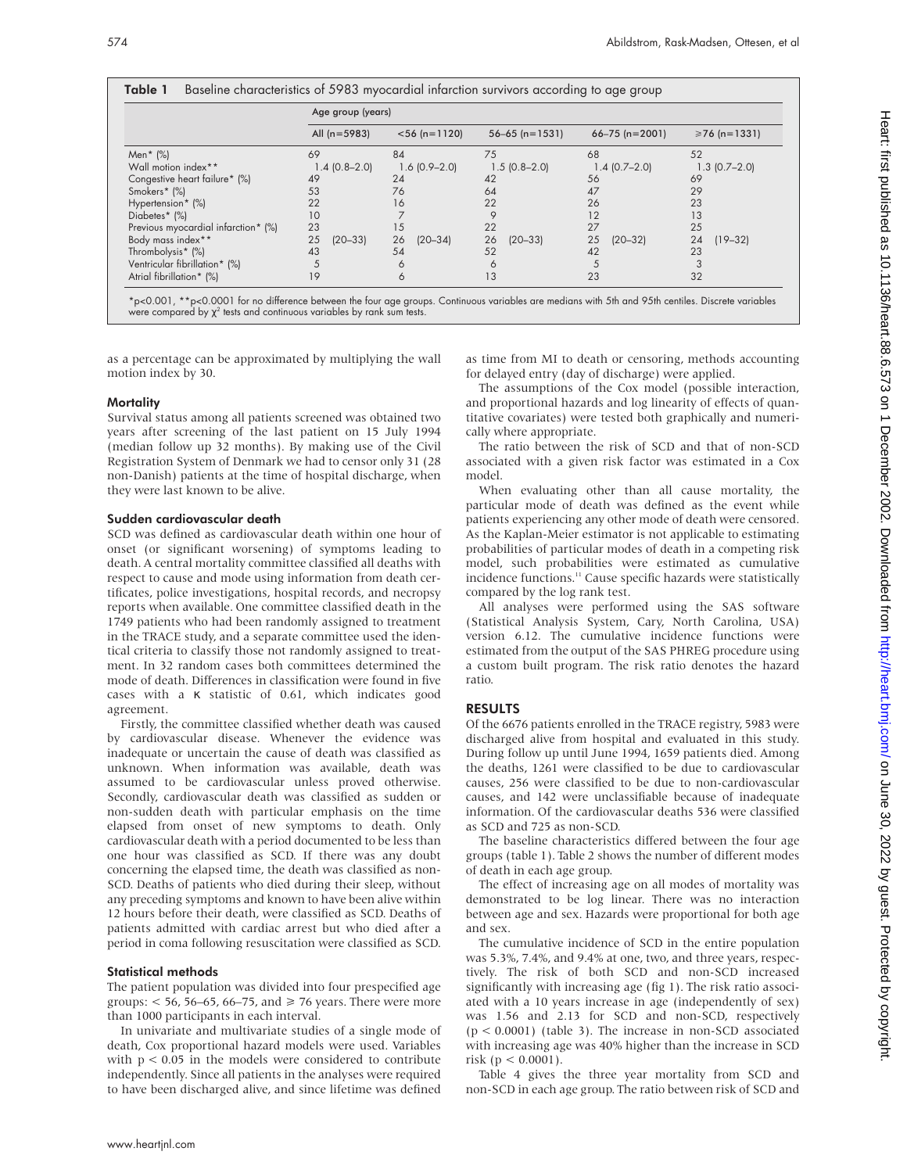|                                     | Age group (years) |                   |                    |                    |                   |  |
|-------------------------------------|-------------------|-------------------|--------------------|--------------------|-------------------|--|
|                                     | All $(n=5983)$    | $< 56$ (n=1120)   | $56 - 65$ (n=1531) | $66 - 75$ (n=2001) | $\ge 76$ (n=1331) |  |
| Men* $(\%)$                         | 69                | 84                | 75                 | 68                 | 52                |  |
| Wall motion index**                 | $1.4(0.8-2.0)$    | $1.6$ (0.9-2.0)   | $1.5(0.8-2.0)$     | $1.4$ (0.7–2.0)    | $1.3$ (0.7–2.0)   |  |
| Congestive heart failure* (%)       | 49                | 24                | 42                 | 56                 | 69                |  |
| Smokers* (%)                        | 53                | 76                | 64                 | 47                 | 29                |  |
| Hypertension* (%)                   | 22                | 16                | 22                 | 26                 | 23                |  |
| Diabetes* (%)                       | 10                |                   | 9                  | 12                 | 13                |  |
| Previous myocardial infarction* (%) | 23                | 15                | 22                 | 27                 | 25                |  |
| Body mass index**                   | 25<br>$(20 - 33)$ | 26<br>$(20 - 34)$ | 26<br>$(20 - 33)$  | 25<br>$(20 - 32)$  | $(19 - 32)$<br>24 |  |
| Thrombolysis* (%)                   | 43                | 54                | 52                 | 42                 | 23                |  |
| Ventricular fibrillation* (%)       | 5                 | $\Delta$          | 6                  |                    |                   |  |
| Atrial fibrillation* (%)            | 19                | 6                 | 13                 | 23                 | 32                |  |

\*p<0.001, \*\*p<0.0001 for no difference between the four age groups. Continuous variables are medians with 5th and 95th centiles. Discrete variables were compared by  $\chi^2$  tests and continuous variables by rank sum tests.

as a percentage can be approximated by multiplying the wall motion index by 30.

#### **Mortality**

Survival status among all patients screened was obtained two years after screening of the last patient on 15 July 1994 (median follow up 32 months). By making use of the Civil Registration System of Denmark we had to censor only 31 (28 non-Danish) patients at the time of hospital discharge, when they were last known to be alive.

#### Sudden cardiovascular death

SCD was defined as cardiovascular death within one hour of onset (or significant worsening) of symptoms leading to death. A central mortality committee classified all deaths with respect to cause and mode using information from death certificates, police investigations, hospital records, and necropsy reports when available. One committee classified death in the 1749 patients who had been randomly assigned to treatment in the TRACE study, and a separate committee used the identical criteria to classify those not randomly assigned to treatment. In 32 random cases both committees determined the mode of death. Differences in classification were found in five cases with a κ statistic of 0.61, which indicates good agreement.

Firstly, the committee classified whether death was caused by cardiovascular disease. Whenever the evidence was inadequate or uncertain the cause of death was classified as unknown. When information was available, death was assumed to be cardiovascular unless proved otherwise. Secondly, cardiovascular death was classified as sudden or non-sudden death with particular emphasis on the time elapsed from onset of new symptoms to death. Only cardiovascular death with a period documented to be less than one hour was classified as SCD. If there was any doubt concerning the elapsed time, the death was classified as non-SCD. Deaths of patients who died during their sleep, without any preceding symptoms and known to have been alive within 12 hours before their death, were classified as SCD. Deaths of patients admitted with cardiac arrest but who died after a period in coma following resuscitation were classified as SCD.

#### Statistical methods

The patient population was divided into four prespecified age groups:  $<$  56, 56–65, 66–75, and  $\geq$  76 years. There were more than 1000 participants in each interval.

In univariate and multivariate studies of a single mode of death, Cox proportional hazard models were used. Variables with  $p < 0.05$  in the models were considered to contribute independently. Since all patients in the analyses were required to have been discharged alive, and since lifetime was defined as time from MI to death or censoring, methods accounting for delayed entry (day of discharge) were applied.

The assumptions of the Cox model (possible interaction, and proportional hazards and log linearity of effects of quantitative covariates) were tested both graphically and numerically where appropriate.

The ratio between the risk of SCD and that of non-SCD associated with a given risk factor was estimated in a Cox model.

When evaluating other than all cause mortality, the particular mode of death was defined as the event while patients experiencing any other mode of death were censored. As the Kaplan-Meier estimator is not applicable to estimating probabilities of particular modes of death in a competing risk model, such probabilities were estimated as cumulative incidence functions.<sup>11</sup> Cause specific hazards were statistically compared by the log rank test.

All analyses were performed using the SAS software (Statistical Analysis System, Cary, North Carolina, USA) version 6.12. The cumulative incidence functions were estimated from the output of the SAS PHREG procedure using a custom built program. The risk ratio denotes the hazard ratio.

### RESULTS

Of the 6676 patients enrolled in the TRACE registry, 5983 were discharged alive from hospital and evaluated in this study. During follow up until June 1994, 1659 patients died. Among the deaths, 1261 were classified to be due to cardiovascular causes, 256 were classified to be due to non-cardiovascular causes, and 142 were unclassifiable because of inadequate information. Of the cardiovascular deaths 536 were classified as SCD and 725 as non-SCD.

The baseline characteristics differed between the four age groups (table 1). Table 2 shows the number of different modes of death in each age group.

The effect of increasing age on all modes of mortality was demonstrated to be log linear. There was no interaction between age and sex. Hazards were proportional for both age and sex.

The cumulative incidence of SCD in the entire population was 5.3%, 7.4%, and 9.4% at one, two, and three years, respectively. The risk of both SCD and non-SCD increased significantly with increasing age (fig 1). The risk ratio associated with a 10 years increase in age (independently of sex) was 1.56 and 2.13 for SCD and non-SCD, respectively (p < 0.0001) (table 3). The increase in non-SCD associated with increasing age was 40% higher than the increase in SCD risk ( $p < 0.0001$ ).

Table 4 gives the three year mortality from SCD and non-SCD in each age group. The ratio between risk of SCD and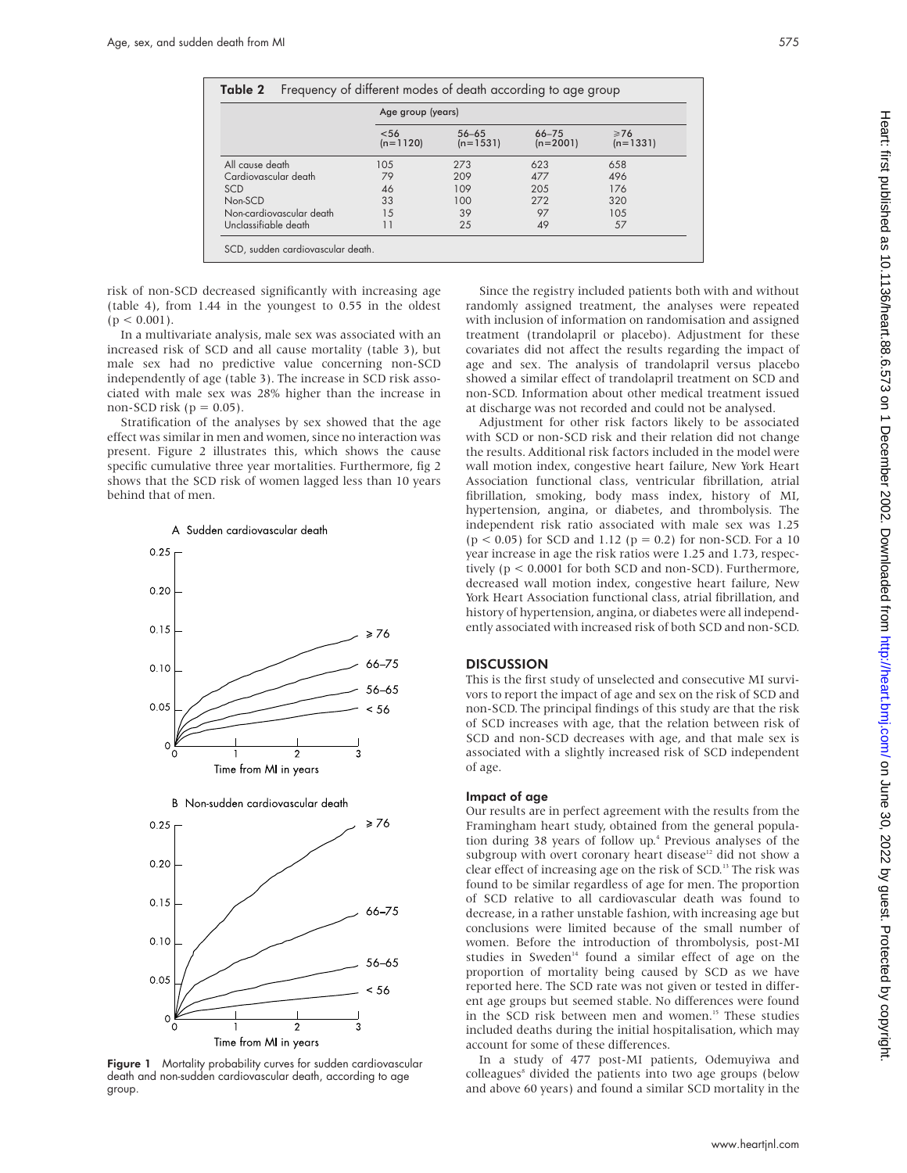|                          | Age group (years)  |                         |                         |                              |
|--------------------------|--------------------|-------------------------|-------------------------|------------------------------|
|                          | < 56<br>$(n=1120)$ | $56 - 65$<br>$(n=1531)$ | $66 - 75$<br>$(n=2001)$ | $\geqslant$ 76<br>$(n=1331)$ |
| All cause death          | 105                | 273                     | 623                     | 658                          |
| Cardiovascular death     | 79                 | 209                     | <b>477</b>              | 496                          |
| <b>SCD</b>               | 46                 | 109                     | 205                     | 176                          |
| Non-SCD                  | 33                 | 100                     | 272                     | 320                          |
| Non-cardiovascular death | 15                 | 39                      | 97                      | 105                          |
| Unclassifiable death     |                    | 25                      | 49                      | 57                           |

risk of non-SCD decreased significantly with increasing age (table 4), from 1.44 in the youngest to 0.55 in the oldest  $(p < 0.001)$ .

In a multivariate analysis, male sex was associated with an increased risk of SCD and all cause mortality (table 3), but male sex had no predictive value concerning non-SCD independently of age (table 3). The increase in SCD risk associated with male sex was 28% higher than the increase in non-SCD risk ( $p = 0.05$ ).

Stratification of the analyses by sex showed that the age effect was similar in men and women, since no interaction was present. Figure 2 illustrates this, which shows the cause specific cumulative three year mortalities. Furthermore, fig 2 shows that the SCD risk of women lagged less than 10 years behind that of men.







Figure 1 Mortality probability curves for sudden cardiovascular death and non-sudden cardiovascular death, according to age group.

Since the registry included patients both with and without randomly assigned treatment, the analyses were repeated with inclusion of information on randomisation and assigned treatment (trandolapril or placebo). Adjustment for these covariates did not affect the results regarding the impact of age and sex. The analysis of trandolapril versus placebo showed a similar effect of trandolapril treatment on SCD and non-SCD. Information about other medical treatment issued at discharge was not recorded and could not be analysed.

Adjustment for other risk factors likely to be associated with SCD or non-SCD risk and their relation did not change the results. Additional risk factors included in the model were wall motion index, congestive heart failure, New York Heart Association functional class, ventricular fibrillation, atrial fibrillation, smoking, body mass index, history of MI, hypertension, angina, or diabetes, and thrombolysis. The independent risk ratio associated with male sex was 1.25  $(p < 0.05)$  for SCD and 1.12  $(p = 0.2)$  for non-SCD. For a 10 year increase in age the risk ratios were 1.25 and 1.73, respectively (p < 0.0001 for both SCD and non-SCD). Furthermore, decreased wall motion index, congestive heart failure, New York Heart Association functional class, atrial fibrillation, and history of hypertension, angina, or diabetes were all independently associated with increased risk of both SCD and non-SCD.

## **DISCUSSION**

This is the first study of unselected and consecutive MI survivors to report the impact of age and sex on the risk of SCD and non-SCD. The principal findings of this study are that the risk of SCD increases with age, that the relation between risk of SCD and non-SCD decreases with age, and that male sex is associated with a slightly increased risk of SCD independent of age.

#### Impact of age

Our results are in perfect agreement with the results from the Framingham heart study, obtained from the general population during 38 years of follow up.4 Previous analyses of the subgroup with overt coronary heart disease<sup>12</sup> did not show a clear effect of increasing age on the risk of SCD.<sup>13</sup> The risk was found to be similar regardless of age for men. The proportion of SCD relative to all cardiovascular death was found to decrease, in a rather unstable fashion, with increasing age but conclusions were limited because of the small number of women. Before the introduction of thrombolysis, post-MI studies in Sweden $14$  found a similar effect of age on the proportion of mortality being caused by SCD as we have reported here. The SCD rate was not given or tested in different age groups but seemed stable. No differences were found in the SCD risk between men and women.<sup>15</sup> These studies included deaths during the initial hospitalisation, which may account for some of these differences.

In a study of 477 post-MI patients, Odemuyiwa and colleagues<sup>8</sup> divided the patients into two age groups (below and above 60 years) and found a similar SCD mortality in the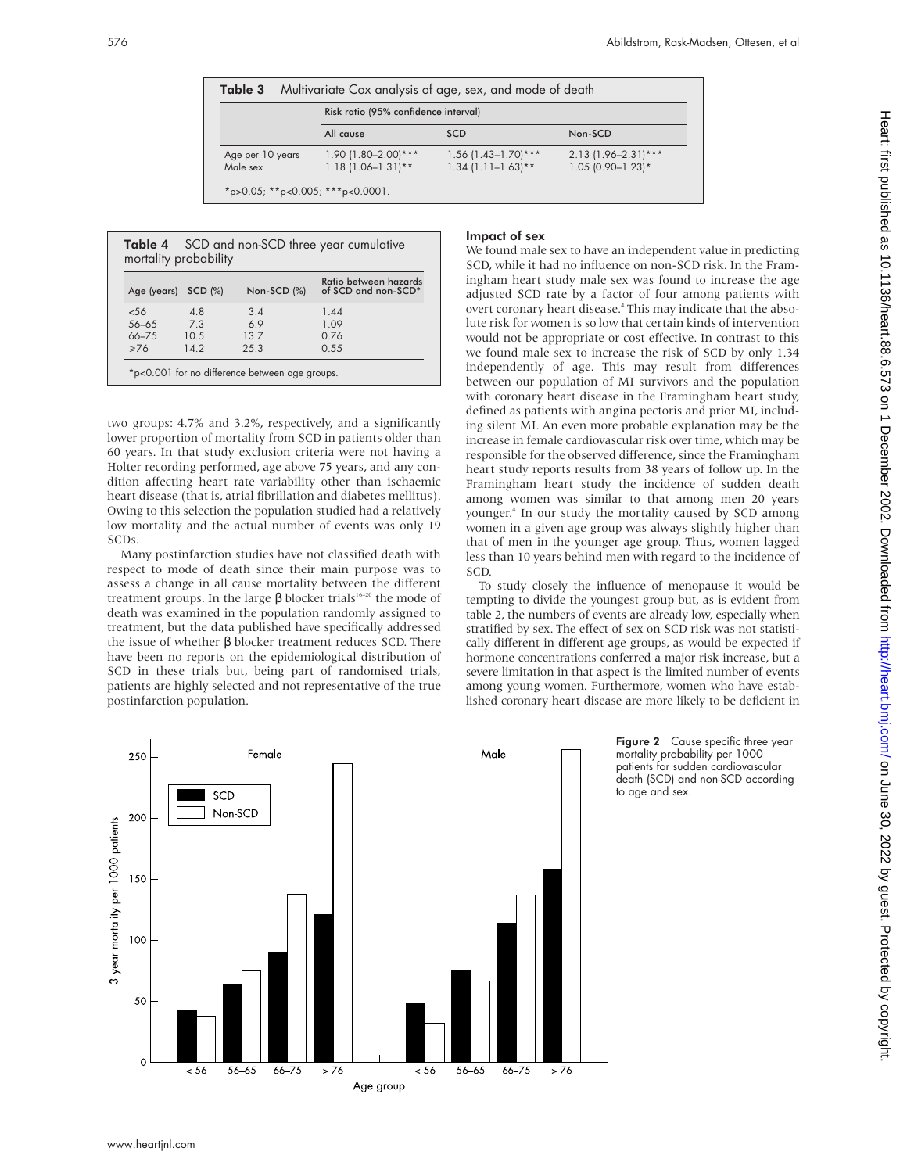| Multivariate Cox analysis of age, sex, and mode of death<br>Table 3 |                                      |                       |                         |  |
|---------------------------------------------------------------------|--------------------------------------|-----------------------|-------------------------|--|
|                                                                     | Risk ratio (95% confidence interval) |                       |                         |  |
|                                                                     | All cause                            | <b>SCD</b>            | Non-SCD                 |  |
| Age per 10 years                                                    | $1.90(1.80 - 2.00)***$               | $1.56$ (1.43–1.70)*** | $2.13(1.96 - 2.31)$ *** |  |
| Male sex                                                            | $1.18(1.06 - 1.31)$ **               | $1.34$ (1.11-1.63)**  | $1.05$ (0.90-1.23)*     |  |

| <b>Table 4</b> SCD and non-SCD three year cumulative<br>mortality probability |            |             |                                              |  |
|-------------------------------------------------------------------------------|------------|-------------|----------------------------------------------|--|
| Age (years) SCD (%)                                                           |            | Non-SCD (%) | Ratio between hazards<br>of SCD and non-SCD* |  |
| 56                                                                            | $\Delta$ 8 | 3.4         | 1.44                                         |  |
| $56 - 65$                                                                     | 73         | 69          | 1.09                                         |  |
| $66 - 75$                                                                     | 10.5       | 137         | 076                                          |  |
| $\geq 76$                                                                     | 142        | 2.5.3       | 0.55                                         |  |

two groups: 4.7% and 3.2%, respectively, and a significantly lower proportion of mortality from SCD in patients older than 60 years. In that study exclusion criteria were not having a Holter recording performed, age above 75 years, and any condition affecting heart rate variability other than ischaemic heart disease (that is, atrial fibrillation and diabetes mellitus). Owing to this selection the population studied had a relatively low mortality and the actual number of events was only 19 SCDs.

Many postinfarction studies have not classified death with respect to mode of death since their main purpose was to assess a change in all cause mortality between the different treatment groups. In the large  $\beta$  blocker trials<sup>16–20</sup> the mode of death was examined in the population randomly assigned to treatment, but the data published have specifically addressed the issue of whether  $β$  blocker treatment reduces SCD. There have been no reports on the epidemiological distribution of SCD in these trials but, being part of randomised trials, patients are highly selected and not representative of the true postinfarction population.

## Impact of sex

We found male sex to have an independent value in predicting SCD, while it had no influence on non-SCD risk. In the Framingham heart study male sex was found to increase the age adjusted SCD rate by a factor of four among patients with overt coronary heart disease.<sup>4</sup> This may indicate that the absolute risk for women is so low that certain kinds of intervention would not be appropriate or cost effective. In contrast to this we found male sex to increase the risk of SCD by only 1.34 independently of age. This may result from differences between our population of MI survivors and the population with coronary heart disease in the Framingham heart study, defined as patients with angina pectoris and prior MI, including silent MI. An even more probable explanation may be the increase in female cardiovascular risk over time, which may be responsible for the observed difference, since the Framingham heart study reports results from 38 years of follow up. In the Framingham heart study the incidence of sudden death among women was similar to that among men 20 years younger.4 In our study the mortality caused by SCD among women in a given age group was always slightly higher than that of men in the younger age group. Thus, women lagged less than 10 years behind men with regard to the incidence of SCD.

To study closely the influence of menopause it would be tempting to divide the youngest group but, as is evident from table 2, the numbers of events are already low, especially when stratified by sex. The effect of sex on SCD risk was not statistically different in different age groups, as would be expected if hormone concentrations conferred a major risk increase, but a severe limitation in that aspect is the limited number of events among young women. Furthermore, women who have established coronary heart disease are more likely to be deficient in





Figure 2 Cause specific three year mortality probability per 1000 patients for sudden cardiovascular death (SCD) and non-SCD according to age and sex.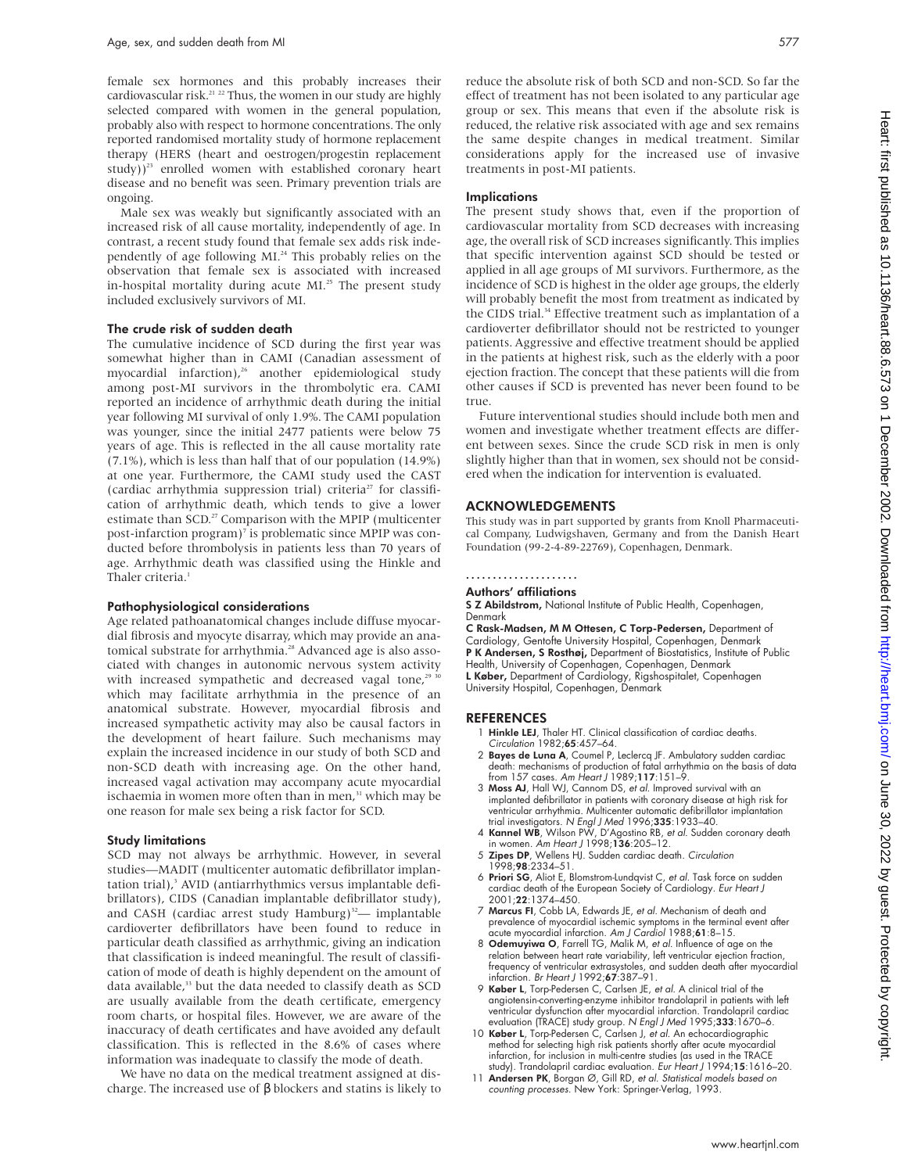female sex hormones and this probably increases their cardiovascular risk.<sup>21</sup> <sup>22</sup> Thus, the women in our study are highly selected compared with women in the general population, probably also with respect to hormone concentrations. The only reported randomised mortality study of hormone replacement therapy (HERS (heart and oestrogen/progestin replacement study) $)^{23}$  enrolled women with established coronary heart disease and no benefit was seen. Primary prevention trials are ongoing.

Male sex was weakly but significantly associated with an increased risk of all cause mortality, independently of age. In contrast, a recent study found that female sex adds risk independently of age following MI.<sup>24</sup> This probably relies on the observation that female sex is associated with increased in-hospital mortality during acute MI.<sup>25</sup> The present study included exclusively survivors of MI.

#### The crude risk of sudden death

The cumulative incidence of SCD during the first year was somewhat higher than in CAMI (Canadian assessment of myocardial infarction),<sup>26</sup> another epidemiological study among post-MI survivors in the thrombolytic era. CAMI reported an incidence of arrhythmic death during the initial year following MI survival of only 1.9%. The CAMI population was younger, since the initial 2477 patients were below 75 years of age. This is reflected in the all cause mortality rate (7.1%), which is less than half that of our population (14.9%) at one year. Furthermore, the CAMI study used the CAST (cardiac arrhythmia suppression trial) criteria<sup>27</sup> for classification of arrhythmic death, which tends to give a lower estimate than SCD.<sup>27</sup> Comparison with the MPIP (multicenter post-infarction program)<sup>7</sup> is problematic since MPIP was conducted before thrombolysis in patients less than 70 years of age. Arrhythmic death was classified using the Hinkle and Thaler criteria.<sup>1</sup>

#### Pathophysiological considerations

Age related pathoanatomical changes include diffuse myocardial fibrosis and myocyte disarray, which may provide an anatomical substrate for arrhythmia.<sup>28</sup> Advanced age is also associated with changes in autonomic nervous system activity with increased sympathetic and decreased vagal tone, $29$ which may facilitate arrhythmia in the presence of an anatomical substrate. However, myocardial fibrosis and increased sympathetic activity may also be causal factors in the development of heart failure. Such mechanisms may explain the increased incidence in our study of both SCD and non-SCD death with increasing age. On the other hand, increased vagal activation may accompany acute myocardial ischaemia in women more often than in men,<sup>31</sup> which may be one reason for male sex being a risk factor for SCD.

#### Study limitations

SCD may not always be arrhythmic. However, in several studies—MADIT (multicenter automatic defibrillator implantation trial),<sup>3</sup> AVID (antiarrhythmics versus implantable defibrillators), CIDS (Canadian implantable defibrillator study), and CASH (cardiac arrest study Hamburg)<sup>32</sup>— implantable cardioverter defibrillators have been found to reduce in particular death classified as arrhythmic, giving an indication that classification is indeed meaningful. The result of classification of mode of death is highly dependent on the amount of data available,<sup>33</sup> but the data needed to classify death as SCD are usually available from the death certificate, emergency room charts, or hospital files. However, we are aware of the inaccuracy of death certificates and have avoided any default classification. This is reflected in the 8.6% of cases where information was inadequate to classify the mode of death.

We have no data on the medical treatment assigned at discharge. The increased use of β blockers and statins is likely to reduce the absolute risk of both SCD and non-SCD. So far the effect of treatment has not been isolated to any particular age group or sex. This means that even if the absolute risk is reduced, the relative risk associated with age and sex remains the same despite changes in medical treatment. Similar considerations apply for the increased use of invasive treatments in post-MI patients.

#### **Implications**

The present study shows that, even if the proportion of cardiovascular mortality from SCD decreases with increasing age, the overall risk of SCD increases significantly. This implies that specific intervention against SCD should be tested or applied in all age groups of MI survivors. Furthermore, as the incidence of SCD is highest in the older age groups, the elderly will probably benefit the most from treatment as indicated by the CIDS trial.<sup>34</sup> Effective treatment such as implantation of a cardioverter defibrillator should not be restricted to younger patients. Aggressive and effective treatment should be applied in the patients at highest risk, such as the elderly with a poor ejection fraction. The concept that these patients will die from other causes if SCD is prevented has never been found to be true.

Future interventional studies should include both men and women and investigate whether treatment effects are different between sexes. Since the crude SCD risk in men is only slightly higher than that in women, sex should not be considered when the indication for intervention is evaluated.

#### ACKNOWLEDGEMENTS

This study was in part supported by grants from Knoll Pharmaceutical Company, Ludwigshaven, Germany and from the Danish Heart Foundation (99-2-4-89-22769), Copenhagen, Denmark.

#### ..................... Authors' affiliations

S Z Abildstrom, National Institute of Public Health, Copenhagen, Denmark

C Rask-Madsen, M M Ottesen, C Torp-Pedersen, Department of Cardiology, Gentofte University Hospital, Copenhagen, Denmark P K Andersen, S Rosthøj, Department of Biostatistics, Institute of Public Health, University of Copenhagen, Copenhagen, Denmark L Køber, Department of Cardiology, Rigshospitalet, Copenhagen University Hospital, Copenhagen, Denmark

#### REFERENCES

- 1 Hinkle LEJ, Thaler HT. Clinical classification of cardiac deaths. Circulation 1982;65:457–64.
- 2 Bayes de Luna A, Coumel P, Leclercq JF. Ambulatory sudden cardiac death: mechanisms of production of fatal arrhythmia on the basis of data from 157 cases. Am Heart J 1989;117:151–9.
- 3 Moss AJ, Hall WJ, Cannom DS, et al. Improved survival with an implanted defibrillator in patients with coronary disease at high risk for ventricular arrhythmia. Multicenter automatic defibrillator implantation
- trial investigators. N *Engl J Med* 1996;**335**:1933–40.<br>4 **Kannel WB**, Wilson PW, D'Agostino RB, *et al*. Sudden coronary death in women. Am Heart J 1998;136:205–12.
- 5 Zipes DP, Wellens HJ. Sudden cardiac death. Circulation 1998;98:2334–51.
- 6 Priori SG, Aliot E, Blomstrom-Lundqvist C, et al. Task force on sudden cardiac death of the European Society of Cardiology. Eur Heart J 2001;22:1374–450.
- 7 Marcus FI, Cobb LA, Edwards JE, et al. Mechanism of death and prevalence of myocardial ischemic symptoms in the terminal event after acute myocardial infarction. Am J Cardiol 1988;61:8-15.
- 8 Odemuyiwa O, Farrell TG, Malik M, et al. Influence of age on the relation between heart rate variability, left ventricular ejection fraction, frequency of ventricular extrasystoles, and sudden death after myocardial infarction. Br Heart J 1992;67:387–91.
- 9 Køber L, Torp-Pedersen C, Carlsen JE, et al. A clinical trial of the angiotensin-converting-enzyme inhibitor trandolapril in patients with left ventricular dysfunction after myocardial infarction. Trandolapril cardiac<br>evaluation (TRACE) study group. N *Engl J Med* 1995;**333**:1670–6.
- 10 Køber L, Torp-Pedersen C, Carlsen J, et al. An echocardiographic method for selecting high risk patients shortly after acute myocardial infarction, for inclusion in multi-centre studies (as used in the TRACE study). Trandolapril cardiac evaluation. Eur Heart J 1994;15:1616-20.
- 11 Andersen PK, Borgan Ø, Gill RD, et al. Statistical models based on counting processes. New York: Springer-Verlag, 1993.